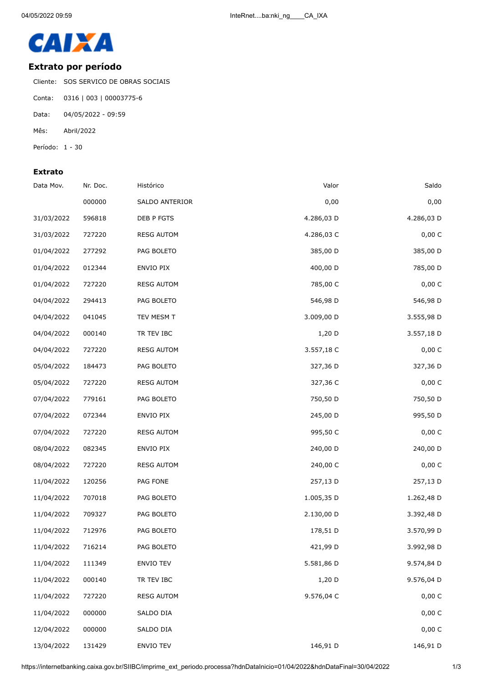

## **Extrato por período**

Cliente: SOS SERVICO DE OBRAS SOCIAIS

- Conta: 0316 | 003 | 00003775-6
- Data: 04/05/2022 09:59
- Mês: Abril/2022
- Período: 1 30

## **Extrato**

| Saldo      | Valor      | Histórico         | Nr. Doc. | Data Mov.  |
|------------|------------|-------------------|----------|------------|
| 0,00       | 0,00       | SALDO ANTERIOR    | 000000   |            |
| 4.286,03 D | 4.286,03 D | DEB P FGTS        | 596818   | 31/03/2022 |
| 0,00 C     | 4.286,03 C | <b>RESG AUTOM</b> | 727220   | 31/03/2022 |
| 385,00 D   | 385,00 D   | PAG BOLETO        | 277292   | 01/04/2022 |
| 785,00 D   | 400,00 D   | ENVIO PIX         | 012344   | 01/04/2022 |
| 0,00 C     | 785,00 C   | <b>RESG AUTOM</b> | 727220   | 01/04/2022 |
| 546,98 D   | 546,98 D   | PAG BOLETO        | 294413   | 04/04/2022 |
| 3.555,98 D | 3.009,00 D | TEV MESM T        | 041045   | 04/04/2022 |
| 3.557,18 D | 1,20 D     | TR TEV IBC        | 000140   | 04/04/2022 |
| 0,00 C     | 3.557,18 C | <b>RESG AUTOM</b> | 727220   | 04/04/2022 |
| 327,36 D   | 327,36 D   | PAG BOLETO        | 184473   | 05/04/2022 |
| 0,00 C     | 327,36 C   | <b>RESG AUTOM</b> | 727220   | 05/04/2022 |
| 750,50 D   | 750,50 D   | PAG BOLETO        | 779161   | 07/04/2022 |
| 995,50 D   | 245,00 D   | ENVIO PIX         | 072344   | 07/04/2022 |
| 0,00 C     | 995,50 C   | <b>RESG AUTOM</b> | 727220   | 07/04/2022 |
| 240,00 D   | 240,00 D   | ENVIO PIX         | 082345   | 08/04/2022 |
| 0,00 C     | 240,00 C   | <b>RESG AUTOM</b> | 727220   | 08/04/2022 |
| 257,13 D   | 257,13 D   | PAG FONE          | 120256   | 11/04/2022 |
| 1.262,48 D | 1.005,35 D | PAG BOLETO        | 707018   | 11/04/2022 |
| 3.392,48 D | 2.130,00 D | PAG BOLETO        | 709327   | 11/04/2022 |
| 3.570,99 D | 178,51 D   | PAG BOLETO        | 712976   | 11/04/2022 |
| 3.992,98 D | 421,99 D   | PAG BOLETO        | 716214   | 11/04/2022 |
| 9.574,84 D | 5.581,86 D | ENVIO TEV         | 111349   | 11/04/2022 |
| 9.576,04 D | 1,20 D     | TR TEV IBC        | 000140   | 11/04/2022 |
| 0,00 C     | 9.576,04 C | <b>RESG AUTOM</b> | 727220   | 11/04/2022 |
| 0,00 C     |            | SALDO DIA         | 000000   | 11/04/2022 |
| 0,00 C     |            | SALDO DIA         | 000000   | 12/04/2022 |
| 146,91 D   | 146,91 D   | ENVIO TEV         | 131429   | 13/04/2022 |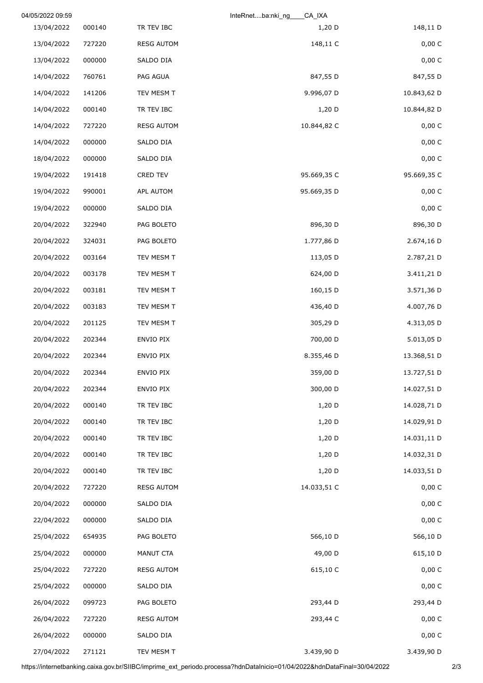|             | CA_IXA<br>InteRnetba.nki_ng |                   |        | 04/05/2022 09:59 |
|-------------|-----------------------------|-------------------|--------|------------------|
| 148,11 D    | 1,20 D                      | TR TEV IBC        | 000140 | 13/04/2022       |
| 0,00 C      | 148,11 C                    | <b>RESG AUTOM</b> | 727220 | 13/04/2022       |
| 0,00C       |                             | SALDO DIA         | 000000 | 13/04/2022       |
| 847,55 D    | 847,55 D                    | PAG AGUA          | 760761 | 14/04/2022       |
| 10.843,62 D | 9.996,07 D                  | TEV MESM T        | 141206 | 14/04/2022       |
| 10.844,82 D | 1,20 D                      | TR TEV IBC        | 000140 | 14/04/2022       |
| 0,00 C      | 10.844,82 C                 | <b>RESG AUTOM</b> | 727220 | 14/04/2022       |
| 0,00 C      |                             | SALDO DIA         | 000000 | 14/04/2022       |
| 0,00 C      |                             | SALDO DIA         | 000000 | 18/04/2022       |
| 95.669,35 C | 95.669,35 C                 | CRED TEV          | 191418 | 19/04/2022       |
| 0,00 C      | 95.669,35 D                 | APL AUTOM         | 990001 | 19/04/2022       |
| 0,00C       |                             | SALDO DIA         | 000000 | 19/04/2022       |
| 896,30 D    | 896,30 D                    | PAG BOLETO        | 322940 | 20/04/2022       |
| 2.674,16 D  | 1.777,86 D                  | PAG BOLETO        | 324031 | 20/04/2022       |
| 2.787,21 D  | 113,05 D                    | TEV MESM T        | 003164 | 20/04/2022       |
| 3.411,21 D  | 624,00 D                    | TEV MESM T        | 003178 | 20/04/2022       |
| 3.571,36 D  | 160,15 D                    | TEV MESM T        | 003181 | 20/04/2022       |
| 4.007,76 D  | 436,40 D                    | TEV MESM T        | 003183 | 20/04/2022       |
| 4.313,05 D  | 305,29 D                    | TEV MESM T        | 201125 | 20/04/2022       |
| 5.013,05 D  | 700,00 D                    | ENVIO PIX         | 202344 | 20/04/2022       |
| 13.368,51 D | 8.355,46 D                  | ENVIO PIX         | 202344 | 20/04/2022       |
| 13.727,51 D | 359,00 D                    | ENVIO PIX         | 202344 | 20/04/2022       |
| 14.027,51 D | 300,00 D                    | ENVIO PIX         | 202344 | 20/04/2022       |
| 14.028,71 D | 1,20 D                      | TR TEV IBC        | 000140 | 20/04/2022       |
| 14.029,91 D | $1,20$ D                    | TR TEV IBC        | 000140 | 20/04/2022       |
| 14.031,11 D | 1,20 D                      | TR TEV IBC        | 000140 | 20/04/2022       |
| 14.032,31 D | $1,20$ D                    | TR TEV IBC        | 000140 | 20/04/2022       |
| 14.033,51 D | $1,20$ D                    | TR TEV IBC        | 000140 | 20/04/2022       |
| 0,00 C      | 14.033,51 C                 | <b>RESG AUTOM</b> | 727220 | 20/04/2022       |
| 0,00 C      |                             | SALDO DIA         | 000000 | 20/04/2022       |
| 0,00 C      |                             | SALDO DIA         | 000000 | 22/04/2022       |
| 566,10 D    | 566,10 D                    | PAG BOLETO        | 654935 | 25/04/2022       |
| 615,10 D    | 49,00 D                     | MANUT CTA         | 000000 | 25/04/2022       |
| 0,00 C      | 615,10 C                    | <b>RESG AUTOM</b> | 727220 | 25/04/2022       |
| 0,00 C      |                             | SALDO DIA         | 000000 | 25/04/2022       |
| 293,44 D    | 293,44 D                    | PAG BOLETO        | 099723 | 26/04/2022       |
| 0,00 C      | 293,44 C                    | <b>RESG AUTOM</b> | 727220 | 26/04/2022       |
| 0,00 C      |                             | SALDO DIA         | 000000 | 26/04/2022       |
| 3.439,90 D  | 3.439,90 D                  | TEV MESM T        | 271121 | 27/04/2022       |